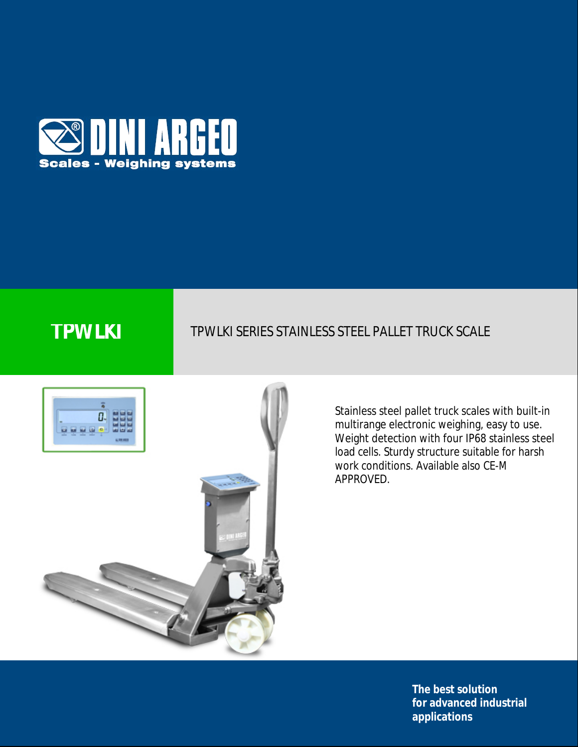

# **TPWLKI** TPWLKI SERIES STAINLESS STEEL PALLET TRUCK SCALE



Stainless steel pallet truck scales with built-in multirange electronic weighing, easy to use. Weight detection with four IP68 stainless steel load cells. Sturdy structure suitable for harsh work conditions. Available also CE-M APPROVED.

> **The best solution for advanced industrial applications**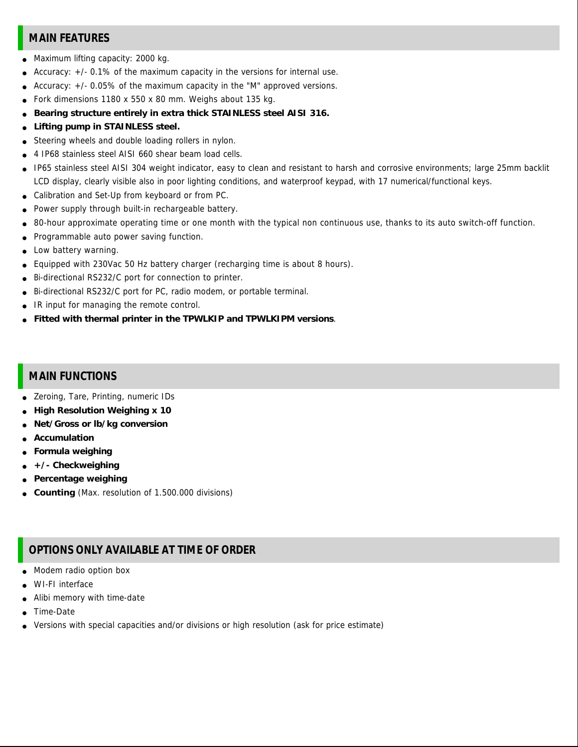## **MAIN FEATURES**

- Maximum lifting capacity: 2000 kg.
- Accuracy:  $+/-$  0.1% of the maximum capacity in the versions for internal use.
- Accuracy:  $+/- 0.05\%$  of the maximum capacity in the "M" approved versions.
- Fork dimensions 1180 x 550 x 80 mm. Weighs about 135 kg.
- **Bearing structure entirely in extra thick STAINLESS steel AISI 316.**
- **Lifting pump in STAINLESS steel.**
- Steering wheels and double loading rollers in nylon.
- 4 IP68 stainless steel AISI 660 shear beam load cells.
- IP65 stainless steel AISI 304 weight indicator, easy to clean and resistant to harsh and corrosive environments; large 25mm backlit LCD display, clearly visible also in poor lighting conditions, and waterproof keypad, with 17 numerical/functional keys.
- Calibration and Set-Up from keyboard or from PC.
- Power supply through built-in rechargeable battery.
- 80-hour approximate operating time or one month with the typical non continuous use, thanks to its auto switch-off function.
- Programmable auto power saving function.
- Low battery warning.
- Equipped with 230Vac 50 Hz battery charger (recharging time is about 8 hours).
- Bi-directional RS232/C port for connection to printer.
- Bi-directional RS232/C port for PC, radio modem, or portable terminal.
- IR input for managing the remote control.
- **Fitted with thermal printer in the TPWLKIP and TPWLKIPM versions**.

### **MAIN FUNCTIONS**

- Zeroing, Tare, Printing, numeric IDs
- **High Resolution Weighing x 10**
- **Net/Gross or lb/kg conversion**
- **Accumulation**
- **Formula weighing**
- **+/- Checkweighing**
- **Percentage weighing**
- **Counting** (Max. resolution of 1.500.000 divisions)

## **OPTIONS ONLY AVAILABLE AT TIME OF ORDER**

- Modem radio option box
- WI-FI interface
- Alibi memory with time-date
- Time-Date
- Versions with special capacities and/or divisions or high resolution (ask for price estimate)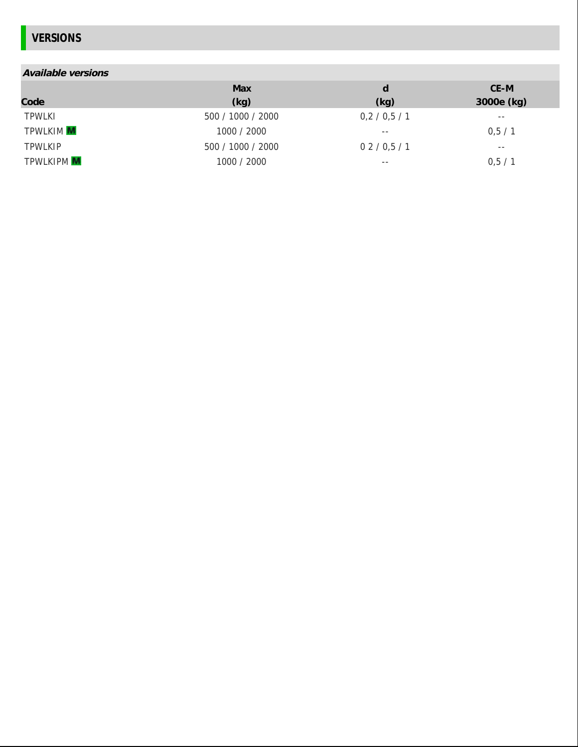# **VERSIONS**

| Available versions |                   |           |            |
|--------------------|-------------------|-----------|------------|
|                    | Max               | d         | CE-M       |
| Code               | (kg)              | (kg)      | 3000e (kg) |
| <b>TPWLKI</b>      | 500 / 1000 / 2000 | 0,2/0,5/1 | $- -$      |
| TPWLKIM M          | 1000 / 2000       | $- -$     | 0,5/1      |
| <b>TPWLKIP</b>     | 500 / 1000 / 2000 | 02/0.5/1  | --         |
| <b>TPWLKIPM</b>    | 1000 / 2000       | $- -$     | 0,5/1      |